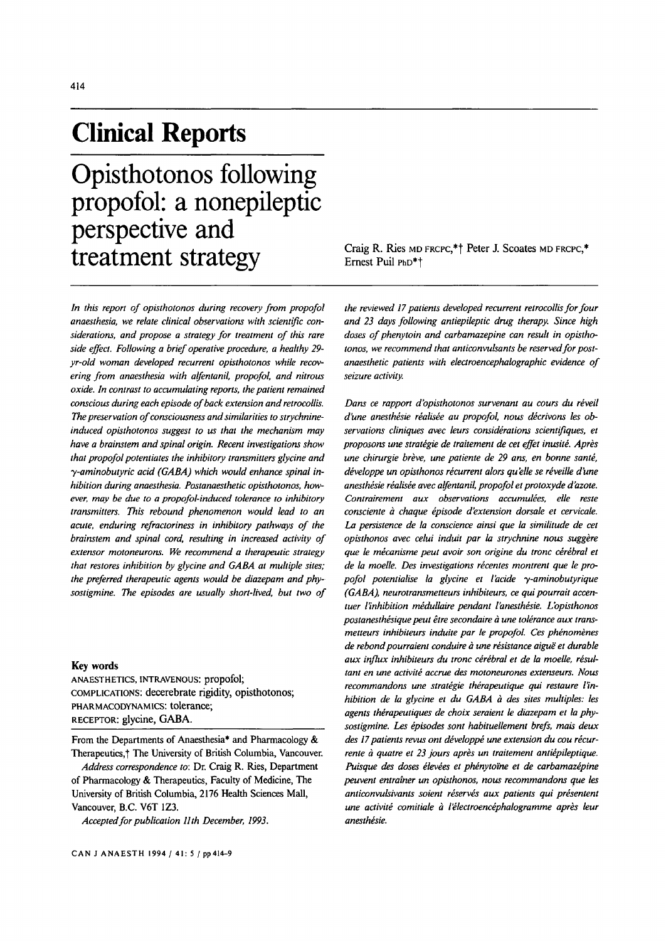# **Clinical Reports**

**Opisthotonos following propofol: a nonepileptic perspective and treatment strategy** Craig R. Ries MD FRCPC,\*† Peter J. Scoates MD FRCPC,\*<br>Ernest Puil PhD\*†

*In this report of opisthotonos during recovery from propofol anaesthesia, we relate clinical observations with scientific considerations, and propose a strategy for treatment of this rare side effect. Following a brief operative procedure, a healthy 29 yr-old woman developed recurrent opisthotonos while recovering from anaesthesia with alfentanil, propofol, and nitrous oxide. In contrast to accumulating reports, the patient remained conscious during each episode of back extension and retrocollis. The preservation of consciousness and similarities to strychnineinduced opisthotonos suggest to us that the mechanism may have a brainstem and spinal origin. Recent investigations show that propofol potentiates the inhibitory transmitters glycine and*   $\gamma$ -aminobutyric acid (GABA) which would enhance spinal in*hibition during anaesthesia. Postanaesthetic opisthotonos, however, may be due to a propofol-induced tolerance to inhibitory transmitters. This rebound phenomenon would lead to an acute, enduring refractoriness in inhibitory pathways of the brainstem and spinal cord, resulting in increased activity of extensor motoneurons. We recommend a therapeutic strategy that restores inhibition by glycine and GABA at multiple sites; the preferred therapeutic agents would be diazepam and physostigmine. The episodes are usually short-lived, but two of* 

# Key words

ANAESTHETICS, INTRAVENOUS: propofol; COMPLICATIONS: decerebrate rigidity, opisthotonos; PHARMACODYNAMICS: tolerance; RECEPTOR: glycine, GABA.

From the Departments of Anaesthesia\* and Pharmacology & Therapeutics,† The University of British Columbia, Vancouver.

*Address correspondence to:* Dr. Craig R. Ries, Department of Pharmacology & Therapeutics, Faculty of Medicine, The University of British Columbia, 2176 Health Sciences Mall, Vancouver, B.C. V6T 1Z3.

*Accepted for publication ll th December, 1993.* 

Ernest Puil PhD<sup>\*</sup>+

*the reviewed 17 patients developed recurrent retrocollis for four and 23 days following antiepileptic drug therapy. Since high doses of phenytoin and carbamazepine can result in opisthotonos, we recommend that anticonvulsants be reserved for postanaesthetic patients with electroencephalographic evidence of*  seizure activity.

*Dans ce rapport d'opisthotonos survenant au cours du réveil* d'une anesthésie réalisée au propofol, nous décrivons les ob*servations cliniques avec leurs considerations scientifiques, et*  proposons une stratégie de traitement de cet effet inusité. Après une chirurgie brève, une patiente de 29 ans, en bonne santé, *développe un opisthonos récurrent alors qu'elle se réveille d'une anesthésie réalisée avec alfentanil, propofol et protoxyde d'azote.* Contrairement aux observations accumulées, elle reste *consciente à chaque épisode d'extension dorsale et cervicale. La persistence de la conscience ainsi que la similitude de cet opisthonos avec celui induit par la strychnine nous suggère que le mécanisme peut avoir son origine du tronc cérébral et* de la moelle. Des investigations récentes montrent que le pro*pofol potentialise la glycine et l'acide 3,-aminobutyrique (GABA), neurotransmetteurs inhibiteurs, ce qui pourrait accen*tuer l'inhibition médullaire pendant l'anesthésie. L'opisthonos *postanesthésique peut être secondaire à une tolérance aux transmetteurs inhibiteurs induite par le propofol. Ces phénomènes de rebond pourraient conduire à une résistance aiguë et durable* aux influx inhibiteurs du tronc cérébral et de la moelle, résultant en une activité accrue des motoneurones extenseurs. Nous recommandons une stratégie thérapeutique qui restaure l'in*hibition de la glycine et du GABA à des sites multiples: les* agents thérapeutiques de choix seraient le diazepam et la phy*sostigmine. Les ~pisodes sont habituellement brefs, mais deux*  des 17 patients revus ont développé une extension du cou récurrente à quatre et 23 jours après un traitement antiépileptique. Puisque des doses élevées et phénytoïne et de carbamazépine *peuvent entralner un opisthonos, nous recommandons que les anticonvulsivants soient réservés aux patients qui présentent* une activité comitiale à l'électroencéphalogramme après leur  $ansth$ ésie.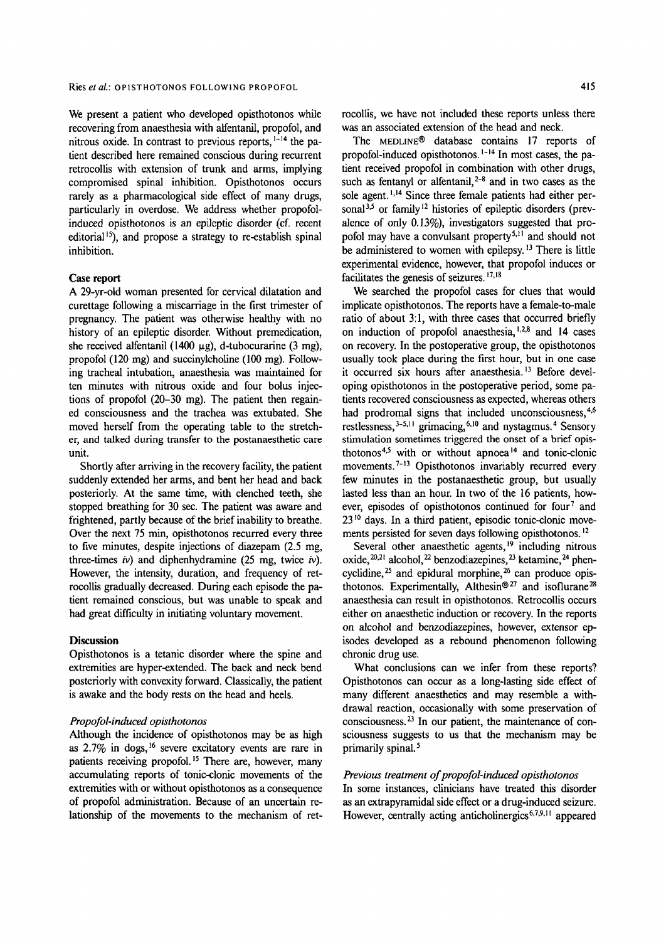We present a patient who developed opisthotonos while recovering from anaesthesia with alfentanil, propofol, and nitrous oxide. In contrast to previous reports, <sup>1-14</sup> the patient described here remained conscious during recurrent retrocollis with extension of trunk and arms, implying compromised spinal inhibition. Opisthotonos occurs rarely as a pharmacological side effect of many drugs, particularly in overdose. We address whether propofolinduced opisthotonos is an epileptic disorder (cf. recent editorial<sup>15</sup>), and propose a strategy to re-establish spinal inhibition.

## **Case** report

A 29-yr-old woman presented for cervical dilatation and curettage following a miscarriage in the first trimester of pregnancy. The patient was otherwise healthy with no history of an epileptic disorder. Without premedication, she received alfentanil (1400  $\mu$ g), d-tubocurarine (3 mg), propofol (120 mg) and succinylcholine (100 mg). Following tracheal intubation, anaesthesia was maintained for ten minutes with nitrous oxide and four bolus injections of propofol (20-30 mg). The patient then regained consciousness and the trachea was extubated. She moved herself from the operating table to the stretcher, and talked during transfer to the postanaesthetic care unit.

Shortly after arriving in the recovery facility, the patient suddenly extended her arms, and bent her head and back posteriorly. At the same time, with clenched teeth, she stopped breathing for 30 sec. The patient was aware and frightened, partly because of the brief inability to breathe. Over the next 75 min, opisthotonos recurred every three to five minutes, despite injections of diazepam (2.5 mg, three-times  $iv$ ) and diphenhydramine (25 mg, twice  $iv$ ). However, the intensity, duration, and frequency of retrocollis gradually decreased. During each episode the patient remained conscious, but was unable to speak and had great difficulty in initiating voluntary movement.

## **Discussion**

Opisthotonos is a tetanic disorder where the spine and extremities are hyper-extended. The back and neck bend posteriorly with convexity forward. Classically, the patient is awake and the body rests on the head and heels.

## *Propofol-induced opisthotonos*

Although the incidence of opisthotonos may be as high as 2.7% in dogs,)6 severe excitatory events are rare in patients receiving propofol.<sup>15</sup> There are, however, many accumulating reports of tonic-clonic movements of the extremities with or without opisthotonos as a consequence of propofol administration. Because of an uncertain relationship of the movements to the mechanism of retrocollis, we have not included these reports unless there was an associated extension of the head and neck.

The MEDLINE<sup>®</sup> database contains 17 reports of propofol-induced opisthotonos,  $1-14$  In most cases, the patient received propofol in combination with other drugs, such as fentanyl or alfentanil,  $2-8$  and in two cases as the sole agent.<sup>1,14</sup> Since three female patients had either personal  $3,5$  or family  $12$  histories of epileptic disorders (prevalence of only 0.13%), investigators suggested that propofol may have a convulsant property<sup>5,11</sup> and should not be administered to women with epilepsy.<sup>13</sup> There is little experimental evidence, however, that propofol induces or facilitates the genesis of seizures.  $17,18$ 

We searched the propofol cases for clues that would implicate opisthotonos. The reports have a female-to-male ratio of about 3:1, with three cases that occurred briefly on induction of propofol anaesthesia, 1.2.8 and 14 cases on recovery. In the postoperative group, the opisthotonos usually took place during the first hour, but in one case it occurred six hours after anaesthesia. 13 Before developing opisthotonos in the postoperative period, some patients recovered consciousness as expected, whereas others had prodromal signs that included unconsciousness, 4,6 restlessness,  $3-5,11$  grimacing,  $6,10$  and nystagmus. <sup>4</sup> Sensory stimulation sometimes triggered the onset of a brief opisthotonos 4,5 with or without apnoea 14 and tonic-clonic movements.<sup>7-13</sup> Opisthotonos invariably recurred every few minutes in the postanaesthetic group, but usually lasted less than an hour. In two of the 16 patients, however, episodes of opisthotonos continued for four<sup>7</sup> and 2310 days. In a third patient, episodic tonic-elonic movements persisted for seven days following opisthotonos.<sup>12</sup>

Several other anaesthetic agents,<sup>19</sup> including nitrous oxide,  $^{20,21}$  alcohol,  $^{22}$  benzodiazepines,  $^{23}$  ketamine,  $^{24}$  phencyclidine,  $25$  and epidural morphine,  $26$  can produce opisthotonos. Experimentally, Althesin<sup>® 27</sup> and isoflurane<sup>28</sup> anaesthesia can result in opisthotonos. Retrocollis occurs either on anaesthetic induction or recovery. In the reports on alcohol and benzodiazepines, however, extensor episodes developed as a rebound phenomenon following chronic drug use.

What conclusions can we infer from these reports? Opisthotonos can occur as a long-lasting side effect of many different anaesthetics and may resemble a withdrawal reaction, occasionally with some preservation of consciousness. 23 In our patient, the maintenance of consciousness suggests to us that the mechanism may be primarily spinal.<sup>5</sup>

## *Previous treatment of propofol-induced opisthotonos*

In some instances, clinicians have treated this disorder as an extrapyramidal side effect or a drug-induced seizure. However, centrally acting anticholinergics<sup>6,7,9,11</sup> appeared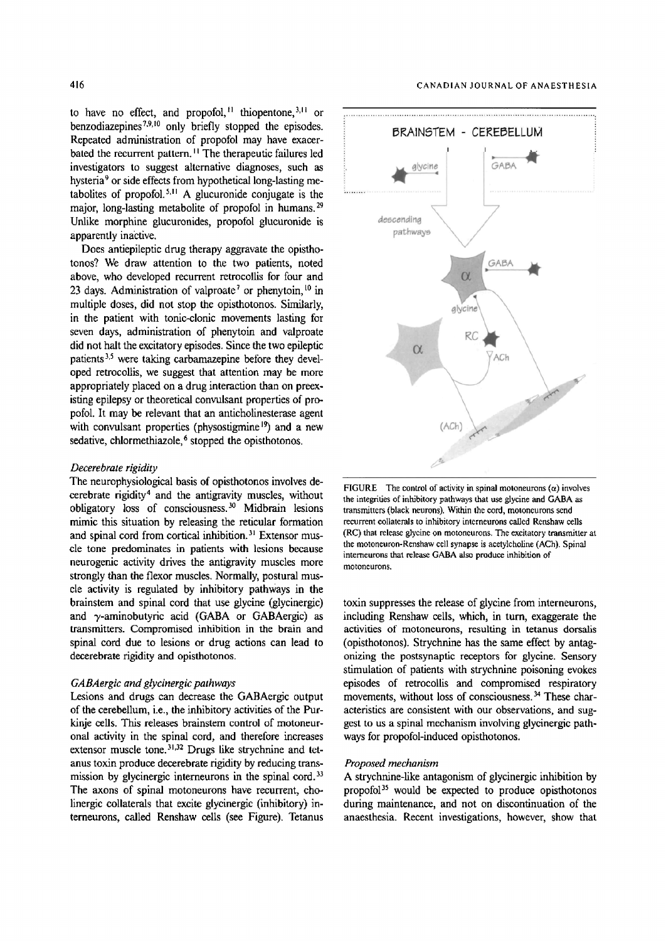to have no effect, and propofol,<sup> $11$ </sup> thiopentone,  $3,11$  or benzodiazepines<sup> $7,9,10$ </sup> only briefly stopped the episodes. Repeated administration of propofol may have exacerbated the recurrent pattern. '1 The therapeutic failures led investigators to suggest alternative diagnoses, such as hysteria<sup>9</sup> or side effects from hypothetical long-lasting metabolites of propofol.<sup>5,11</sup> A glucuronide conjugate is the major, long-lasting metabolite of propofol in humans.<sup>29</sup> Unlike morphine glucuronides, propofol glueuronide is apparently inactive.

Does antiepileptic drug therapy aggravate the opisthotonos? We draw attention to the two patients, noted above, who developed recurrent retrocollis for four and 23 days. Administration of valproate<sup>7</sup> or phenytoin,  $10$  in multiple doses, did not stop the opisthotonos. Similarly, in the patient with tonic-clonic movements lasting for seven days, administration of phenytoin and valproate did not halt the excitatory episodes. Since the two epileptic patients 3,5 were taking carbamazepine before they developed retrocollis, we suggest that attention may be more appropriately placed on a drug interaction than on preexisting epilepsy or theoretical convulsant properties of propofol. It may be relevant that an anticholinestemse agent with convulsant properties (physostigmine<sup>19</sup>) and a new sedative, chlormethiazole, $6$  stopped the opisthotonos.

#### *Decerebrate rigidity*

The neurophysiological basis of opisthotonos involves decerebrate rigidity<sup>4</sup> and the antigravity muscles, without obligatory loss of consciousness.<sup>30</sup> Midbrain lesions mimic this situation by releasing the reticular formation and spinal cord from cortical inhibition.<sup>31</sup> Extensor muscle tone predominates in patients with lesions because neurogenic activity drives the antigravity muscles more strongly than the flexor muscles. Normally, postural muscle activity is regulated by inhibitory pathways in the brainstem and spinal cord that use glycine (glycinergic) and  $\gamma$ -aminobutyric acid (GABA or GABAergic) as transmitters. Compromised inhibition in the brain and spinal cord due to lesions or drug actions can lead to decerebrate rigidity and opisthotonos.

#### *GABAergic and gtycinergic pathways*

Lesions and drugs can decrease the GABAergic output of the cerebellum, i.e., the inhibitory activities of the Purkinje cells. This releases brainstem control of motoneuronal activity in the spinal cord, and therefore increases extensor muscle tone. $31,32$  Drugs like strychnine and tetanus toxin produce decerebrate rigidity by reducing transmission by glycinergic interneurons in the spinal cord.<sup>33</sup> The axons of spinal motoneurons have recurrent, cholinergic collaterals that excite glyeinergic (inhibitory) interneurons, called Renshaw cells (see Figure). Tetanus



FIGURE The control of activity in spinal motoneurons  $(\alpha)$  involves the integrities of inhibitory pathways that use glycine and GABA as transmitters (black neurons). Within the cord, motoneurons send recurrent collaterals to inhibitory interneurons called Renshaw cells (RC) that release glycine on motoneurons. The excitatory transmitter at the motoneuron-Renshaw cell synapse is acetylcholine (ACh). Spinal interneurons that release GABA also produce inhibition of motoneurons.

toxin suppresses the release of glycine from interneurons, including Renshaw ceils, which, in turn, exaggerate the activities of motoneurons, resulting in tetanus dorsalis (opisthotonos). Strychnine has the same effect by antagonizing the postsynaptic receptors for glycine. Sensory stimulation of patients with strychnine poisoning evokes episodes of retrocollis and compromised respiratory movements, without loss of consciousness. 34 These characteristics are consistent with our observations, and suggest to us a spinal mechanism involving glycinergic pathways for propofol-induced opisthotonos.

## *Proposed mechanism*

A strychnine-like antagonism of glycinergic inhibition by propofol $35$  would be expected to produce opisthotonos during maintenance, and not on discontinuation of the anaesthesia. Recent investigations, however, show that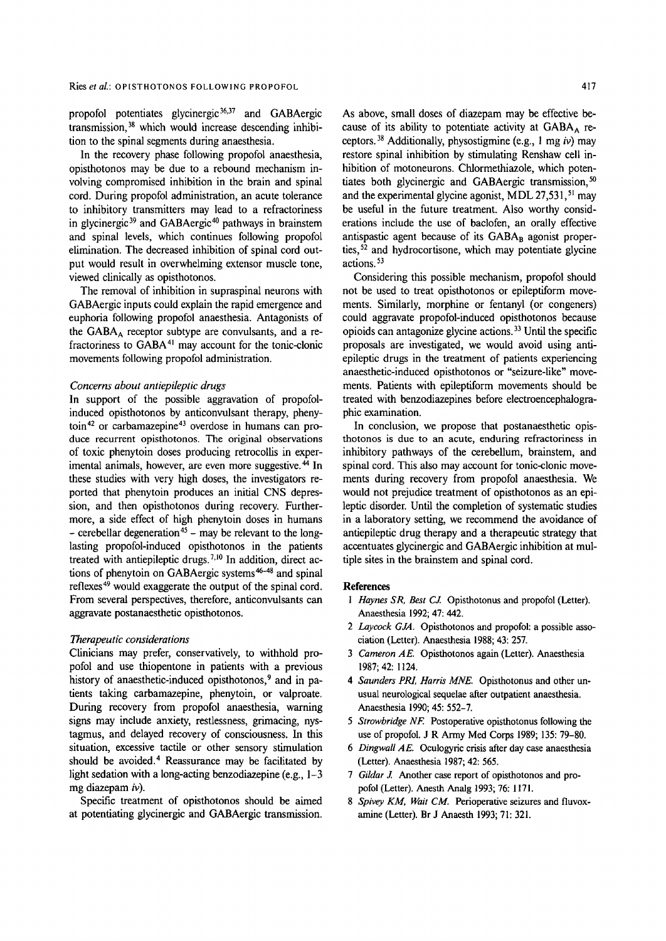propofol potentiates glycinergic 36,37 and GABAergic transmission, 38 which would increase descending inhibition to the spinal segments during anaesthesia.

In the recovery phase following propofol anaesthesia, opisthotonos may be due to a rebound mechanism involving compromised inhibition in the brain and spinal cord. During propofol administration, an acute tolerance to inhibitory transmitters may lead to a refractoriness in glycinergic<sup>39</sup> and GABAergic<sup>40</sup> pathways in brainstem and spinal levels, which continues following propofol elimination. The decreased inhibition of spinal cord output would result in overwhelming extensor muscle tone, viewed clinically as opisthotonos.

The removal of inhibition in supraspinal neurons with GABAergic inputs could explain the rapid emergence and euphoria following propofol anaesthesia. Antagonists of the  $GABA_A$  receptor subtype are convulsants, and a refractoriness to GABA 41 may account for the tonic-clonic movements following propofol administration.

## *Concerns about antiepileptic drugs*

In support of the possible aggravation of propofolinduced opisthotonos by anticonvulsant therapy, phenytoin 42 or carbamazepine 43 overdose in humans can produce recurrent opisthotonos. The original observations of toxic phenytoin doses producing retrocollis in experimental animals, however, are even more suggestive.<sup>44</sup> In these studies with very high doses, the investigators reported that phenytoin produces an initial CNS depression, and then opisthotonos during recovery. Furthermore, a side effect of high phenytoin doses in humans  $-$  cerebellar degeneration<sup>45</sup> – may be relevant to the longlasting propofol-induced opisthotonos in the patients treated with antiepileptic drugs.<sup>7,10</sup> In addition, direct actions of phenytoin on GABAergic systems 46-4s and spinal reflexes 49 would exaggerate the output of the spinal cord. From several perspectives, therefore, anticonvulsants can aggravate postanaesthetic opisthotonos.

## *Therapeutic considerations*

Clinicians may prefer, conservatively, to withhold propofol and use thiopentone in patients with a previous history of anaesthetic-induced opisthotonos,<sup>9</sup> and in patients taking carbamazepine, phenytoin, or valproate. During recovery from propofol anaesthesia, warning signs may include anxiety, restlessness, grimacing, nystagmus, and delayed recovery of consciousness. In this situation, excessive tactile or other sensory stimulation should be avoided.<sup>4</sup> Reassurance may be facilitated by light sedation with a long-acting benzodiazepine (e.g., 1-3) mg diazepam  $iv$ ).

Specific treatment of opisthotonos should be aimed at potentiating glycinergic and GABAergic transmission. As above, small doses of diazepam may be effective because of its ability to potentiate activity at  $GABA_A$  receptors.<sup>38</sup> Additionally, physostigmine (e.g., 1 mg *iv*) may restore spinal inhibition by stimulating Renshaw cell inhibition of motoneurons. Chlormethiazole, which potentiates both glycinergic and GABAergic transmission,  $50$ and the experimental glycine agonist, MDL  $27.531$ ,  $51 \text{ max}$ be useful in the future treatment. Also worthy considerations include the use of baclofen, an orally effective antispastic agent because of its  $GABA_B$  agonist properties,<sup>52</sup> and hydrocortisone, which may potentiate glycine actions. 53

Considering this possible mechanism, propofol should not be used to treat opisthotonos or epileptiform movements. Similarly, morphine or fentanyl (or congeners) could aggravate propofol-induced opisthotonos because opioids can antagonize glycine actions. 33 Until the specific proposals are investigated, we would avoid using antiepileptic drugs in the treatment of patients experiencing anaesthetic-induced opisthotonos or "seizure-like" movements. Patients with epileptiform movements should be treated with benzodiazepines before electroencephalographic examination.

In conclusion, we propose that postanaesthetic opisthotonos is due to an acute, enduring refractoriness in inhibitory pathways of the cerebellum, brainstem, and spinal cord. This also may account for tonic-clonic movements during recovery from propofol anaesthesia. We would not prejudice treatment of opisthotonos as an epileptic disorder. Until the completion of systematic studies in a laboratory setting, we recommend the avoidance of antiepileptic drug therapy and a therapeutic strategy that accentuates glycinergic and GABAergic inhibition at multiple sites in the brainstem and spinal cord.

#### **References**

- 1 Haynes SR, Best CJ. Opisthotonus and propofol (Letter). Anaesthesia 1992; 47: 442.
- *2 Laycock GJA.* Opisthotonos and propofol: a possible association (Letter). Anaesthesia 1988; 43: 257.
- *3 Cameron AE.* Opisthotonos again (Letter). Anaesthesia 1987; 42:1124.
- 4 Saunders PRI, Harris MNE. Opisthotonus and other unusual neurological sequelae after outpatient anaesthesia. Anaesthesia 1990; 45: 552-7.
- *5 Strowbridge NE* Postoperative opisthotonus following the use of propofol. J R Army Med Corps 1989; 135: 79-80.
- *6 Dingwall AE.* Oculogyric crisis after day case anaesthesia (Letter). Anaesthesia 1987; 42: 565.
- *7 Gildar J.* Another case report of opisthotonos and propofol (Letter). Anesth Analg 1993; 76: 1171.
- *8 Spivey KM, Wait CM.* Perioperative seizures and fluvoxamine (Letter). Br J Anaesth 1993; 71: 321.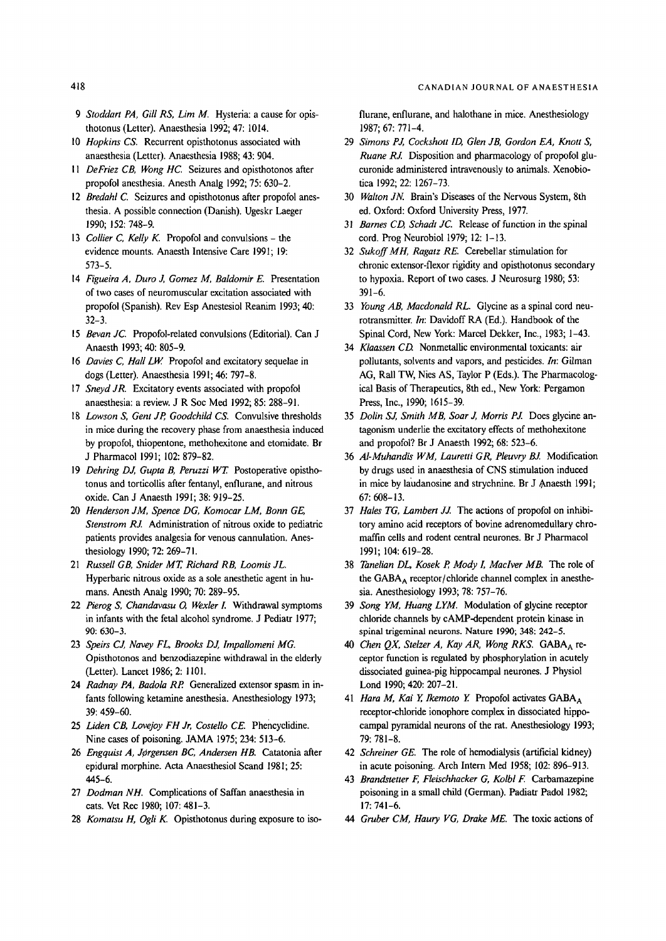- *9 Stoddart PA, Gill RS, Lim M. Hysteria: a cause for opis*thotonus (Letter). Anaesthesia 1992; 47: 1014.
- 10 *Hopkins CS.* Recurrent opisthotonus associated with anaesthesia (Letter). Anaesthesia 1988; 43: 904.
- *I 1 DeFriez CB, Wong HC.* Seizures and opisthotonos after propofol anesthesia. Anesth Analg 1992; 75: 630-2.
- 12 *Bredahl C.* Seizures and opisthotonus after propofol anesthesia. A possible connection (Danish). Ugeskr Laeger 1990; 152: 748-9.
- 13 *Collier C, Kelly K.* Propofol and convulsions the evidence mounts. Anaesth Intensive Care 1991; 19: 573-5.
- 14 *Figueira A, Duro J,, Gomez M, Baldomir E.* Presentation of two cases of neuromuscular excitation associated with propofol (Spanish). Rev Esp Anestesiol Reanim 1993; 40: 32-3.
- 15 *Bevan JC.* Propofol-related convulsions (Editorial). Can J Anaesth 1993; 40: 805-9.
- 16 *Davies C, Hall LW.* Propofol and excitatory sequelae in dogs (Letter). Anaesthesia 1991; 46: 797-8.
- 17 *Sneyd JR.* Excitatory events associated with propofol anaesthesia: a review. J R Soc Med 1992; 85: 288-91.
- 18 *Lowson S, Gent JR Goodchild CS.* Convulsive thresholds in mice during the recovery phase from anaesthesia induced by propofol, thiopentone, methohexitone and etomidate. Br J Pharmacol 1991; 102: 879-82.
- 19 *Dehring DJ, Gupta B, Peruzzi WT.* Postoperative opisthotonus and torticollis after fentanyl, enflurane, and nitrous oxide. Can J Anaesth 1991; 38: 919-25.
- 20 *Henderson JM, Spence DG, Komocar LM, Bonn GE, Stenstrom RJ.* Administration of nitrous oxide to pediatric patients provides analgesia for venous cannulation. Anesthesiology 1990; 72: 269-71.
- 21 *Russell GB, Snider MT, Richard RB, Loomis JL.*  Hyperbaric nitrous oxide as a sole anesthetic agent in humans. Anesth Analg 1990; 70: 289-95.
- 22 *Pierog S, Chandavasu O, Wexler L* Withdrawal symptoms in infants with the fetal alcohol syndrome. J Pediatr 1977; 90: 630-3.
- 23 Speirs CJ, Navey FL, Brooks DJ, Impallomeni MG, Opisthotonos and benzodiazepine withdrawal in the elderly (Letter). Lancet 1986; 2:1101.
- 24 *Radnay PA, Badola RP.* Generalized extensor spasm in infants following ketamine anesthesia. Anesthesiology 1973; 39: 459-60.
- 25 *Liden CB, Lovejoy FH Jr, Costello CE.* Phencyclidine. Nine cases of poisoning. JAMA 1975; 234: 513-6.
- 26 *Engquist A, Jørgensen BC, Andersen HB.* Catatonia after epidural morphine. Acta Anaesthesiol Scand 1981; 25: 445-6.
- 27 *Dodman NH.* Complications of Saffan anaesthesia in cats. Vet Rec 1980; 107: 481-3.
- 28 *Komatsu H, Ogli K.* Opisthotonus during exposure to iso-

flurane, enflurane, and halothane in mice. Anesthesiology 1987; 67: 771-4.

- 29 *Simons PJ, Cockshott ID, Glen JB, Gordon EA, Knott S, Ruane RJ.* Disposition and pharmacology of propofol glucuronide administered intravenously to animals. Xenobiotica 1992; 22: 1267-73.
- 30 *Walton JN.* Brain's Diseases of the Nervous System, 8th ed. Oxford: Oxford University Press, 1977.
- 31 *Barnes CD, Schadt JC.* Release of function in the spinal cord. Prog Neurobiol 1979; 12: 1-13.
- 32 *SukoffMH, Ragatz RE.* Cerebellar stimulation for chronic extensor-flexor rigidity and opisthotonus secondary to hypoxia. Report of two cases. J Neurosurg 1980; 53: 391-6.
- 33 *Young AB, Macdonald RL.* Glycine as a spinal cord neurotransmitter. *In:* Davidoff RA (Ed.). Handbook of the Spinal Cord, New York: Marcel Dekker, Inc., 1983; 1-43.
- 34 *Klaassen CD.* Nonmetallic environmental toxicants: air pollutants, solvents and vapors, and pesticides. *In:* Gilman AG, Rail TW, Nies AS, Taylor P (Eds.). The Pharmacological Basis of Therapeutics, 8th ed., New York: Pergamon Press, Inc., 1990; 1615-39.
- 35 *Dolin SJ, Smith MB, Soar J, Morris PJ.* Does glycine antagonism underlie the excitatory effects of methohexitone and propofol? Br J Anaesth 1992; 68: 523-6.
- 36 *Al-Muhandis WM, Lauretti GR, Pleuvry BJ.* Modification by drugs used in anaesthesia of CNS stimulation induced in mice by laudanosine and strychnine. Br J Anaesth 1991; 67: 608-13.
- 37 *Hales TG, Lambert JJ. The* actions of propofol on inhibitory amino acid receptors of bovine adrenomedullary chromaffin cells and rodent central neurones. Br J Pharmacol 1991; 104: 619-28.
- 38 *Tanelian DL, Kosek R Mody I, Maclver MB. The* role of the GABA $_A$  receptor/chloride channel complex in anesthesia. Anesthesiology 1993; 78: 757-76.
- 39 *Song YM, Huang LYM.* Modulation of glycine receptor chloride channels by cAMP-dependent protein kinase in spinal trigeminal neurons. Nature 1990; 348: 242-5.
- 40 Chen OX, Stelzer A, Kay AR, Wong RKS. GABA<sub>A</sub> receptor function is regulated by phosphorylation in acutely dissociated guinea-pig hippocampal neurones. J Physiol Lond 1990; 420: 207-21.
- 41 *Hara M, Kai Y, Ikemoto Y.* Propofol activates GABA<sub>A</sub> receptor-chloride ionophore complex in dissociated hippocampal pyramidal neurons of the rat. Anesthesiology 1993; 79: 781-8.
- 42 *Schreiner GE. The* role of hemodialysis (artificial kidney) in acute poisoning. Arch Intern Med 1958; 102: 896-913.
- 43 *Brandstener F, Fleischhacker G, Kolbl F.* Carbamazepine poisoning in a small child (German). Padiatr Padol 1982; 17: 741-6.
- *44 Gruber CM, Haury VG, Drake ME. The* toxic actions of